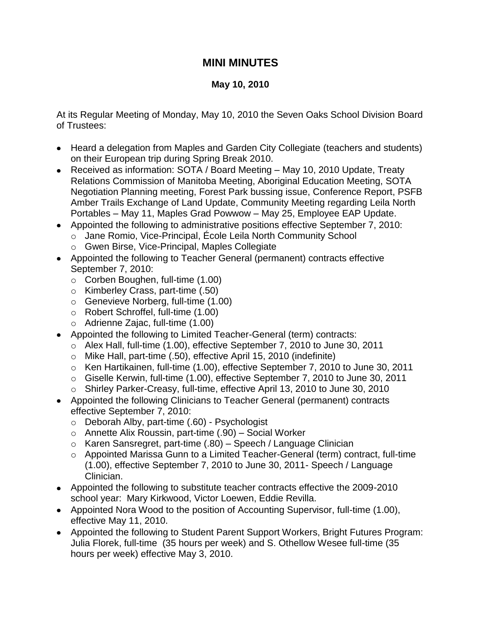## **MINI MINUTES**

## **May 10, 2010**

At its Regular Meeting of Monday, May 10, 2010 the Seven Oaks School Division Board of Trustees:

- Heard a delegation from Maples and Garden City Collegiate (teachers and students) on their European trip during Spring Break 2010.
- Received as information: SOTA / Board Meeting May 10, 2010 Update, Treaty Relations Commission of Manitoba Meeting, Aboriginal Education Meeting, SOTA Negotiation Planning meeting, Forest Park bussing issue, Conference Report, PSFB Amber Trails Exchange of Land Update, Community Meeting regarding Leila North Portables – May 11, Maples Grad Powwow – May 25, Employee EAP Update.
- Appointed the following to administrative positions effective September 7, 2010:
	- o Jane Romio, Vice-Principal, École Leila North Community School
	- o Gwen Birse, Vice-Principal, Maples Collegiate
- Appointed the following to Teacher General (permanent) contracts effective September 7, 2010:
	- o Corben Boughen, full-time (1.00)
	- o Kimberley Crass, part-time (.50)
	- o Genevieve Norberg, full-time (1.00)
	- o Robert Schroffel, full-time (1.00)
	- o Adrienne Zajac, full-time (1.00)
- Appointed the following to Limited Teacher-General (term) contracts:
	- o Alex Hall, full-time (1.00), effective September 7, 2010 to June 30, 2011
	- o Mike Hall, part-time (.50), effective April 15, 2010 (indefinite)
	- o Ken Hartikainen, full-time (1.00), effective September 7, 2010 to June 30, 2011
	- o Giselle Kerwin, full-time (1.00), effective September 7, 2010 to June 30, 2011
	- o Shirley Parker-Creasy, full-time, effective April 13, 2010 to June 30, 2010
- Appointed the following Clinicians to Teacher General (permanent) contracts effective September 7, 2010:
	- o Deborah Alby, part-time (.60) Psychologist
	- o Annette Alix Roussin, part-time (.90) Social Worker
	- o Karen Sansregret, part-time (.80) Speech / Language Clinician
	- o Appointed Marissa Gunn to a Limited Teacher-General (term) contract, full-time (1.00), effective September 7, 2010 to June 30, 2011- Speech / Language Clinician.
- Appointed the following to substitute teacher contracts effective the 2009-2010 school year: Mary Kirkwood, Victor Loewen, Eddie Revilla.
- Appointed Nora Wood to the position of Accounting Supervisor, full-time (1.00), effective May 11, 2010.
- Appointed the following to Student Parent Support Workers, Bright Futures Program: Julia Florek, full-time (35 hours per week) and S. Othellow Wesee full-time (35 hours per week) effective May 3, 2010.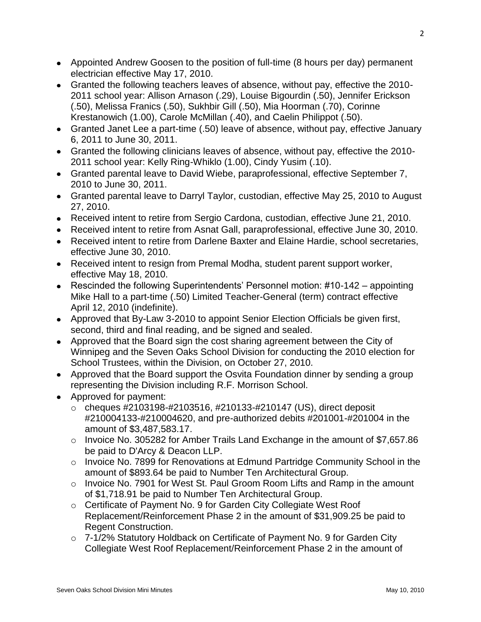- Appointed Andrew Goosen to the position of full-time (8 hours per day) permanent electrician effective May 17, 2010.
- Granted the following teachers leaves of absence, without pay, effective the 2010- 2011 school year: Allison Arnason (.29), Louise Bigourdin (.50), Jennifer Erickson (.50), Melissa Franics (.50), Sukhbir Gill (.50), Mia Hoorman (.70), Corinne Krestanowich (1.00), Carole McMillan (.40), and Caelin Philippot (.50).
- Granted Janet Lee a part-time (.50) leave of absence, without pay, effective January 6, 2011 to June 30, 2011.
- Granted the following clinicians leaves of absence, without pay, effective the 2010- 2011 school year: Kelly Ring-Whiklo (1.00), Cindy Yusim (.10).
- Granted parental leave to David Wiebe, paraprofessional, effective September 7, 2010 to June 30, 2011.
- Granted parental leave to Darryl Taylor, custodian, effective May 25, 2010 to August 27, 2010.
- Received intent to retire from Sergio Cardona, custodian, effective June 21, 2010.
- Received intent to retire from Asnat Gall, paraprofessional, effective June 30, 2010.
- Received intent to retire from Darlene Baxter and Elaine Hardie, school secretaries, effective June 30, 2010.
- Received intent to resign from Premal Modha, student parent support worker, effective May 18, 2010.
- Rescinded the following Superintendents' Personnel motion: #10-142 appointing Mike Hall to a part-time (.50) Limited Teacher-General (term) contract effective April 12, 2010 (indefinite).
- Approved that By-Law 3-2010 to appoint Senior Election Officials be given first, second, third and final reading, and be signed and sealed.
- Approved that the Board sign the cost sharing agreement between the City of Winnipeg and the Seven Oaks School Division for conducting the 2010 election for School Trustees, within the Division, on October 27, 2010.
- Approved that the Board support the Osvita Foundation dinner by sending a group representing the Division including R.F. Morrison School.
- Approved for payment:
	- o cheques #2103198-#2103516, #210133-#210147 (US), direct deposit #210004133-#210004620, and pre-authorized debits #201001-#201004 in the amount of \$3,487,583.17.
	- o Invoice No. 305282 for Amber Trails Land Exchange in the amount of \$7,657.86 be paid to D'Arcy & Deacon LLP.
	- $\circ$  Invoice No. 7899 for Renovations at Edmund Partridge Community School in the amount of \$893.64 be paid to Number Ten Architectural Group.
	- o Invoice No. 7901 for West St. Paul Groom Room Lifts and Ramp in the amount of \$1,718.91 be paid to Number Ten Architectural Group.
	- o Certificate of Payment No. 9 for Garden City Collegiate West Roof Replacement/Reinforcement Phase 2 in the amount of \$31,909.25 be paid to Regent Construction.
	- o 7-1/2% Statutory Holdback on Certificate of Payment No. 9 for Garden City Collegiate West Roof Replacement/Reinforcement Phase 2 in the amount of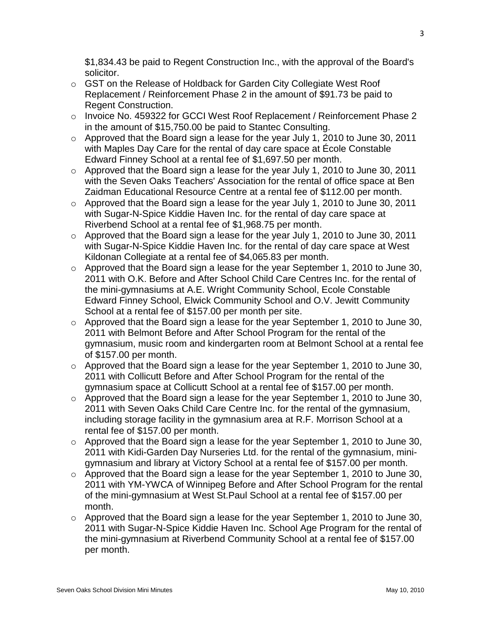\$1,834.43 be paid to Regent Construction Inc., with the approval of the Board's solicitor.

- o GST on the Release of Holdback for Garden City Collegiate West Roof Replacement / Reinforcement Phase 2 in the amount of \$91.73 be paid to Regent Construction.
- o Invoice No. 459322 for GCCI West Roof Replacement / Reinforcement Phase 2 in the amount of \$15,750.00 be paid to Stantec Consulting.
- o Approved that the Board sign a lease for the year July 1, 2010 to June 30, 2011 with Maples Day Care for the rental of day care space at École Constable Edward Finney School at a rental fee of \$1,697.50 per month.
- o Approved that the Board sign a lease for the year July 1, 2010 to June 30, 2011 with the Seven Oaks Teachers' Association for the rental of office space at Ben Zaidman Educational Resource Centre at a rental fee of \$112.00 per month.
- o Approved that the Board sign a lease for the year July 1, 2010 to June 30, 2011 with Sugar-N-Spice Kiddie Haven Inc. for the rental of day care space at Riverbend School at a rental fee of \$1,968.75 per month.
- o Approved that the Board sign a lease for the year July 1, 2010 to June 30, 2011 with Sugar-N-Spice Kiddie Haven Inc. for the rental of day care space at West Kildonan Collegiate at a rental fee of \$4,065.83 per month.
- o Approved that the Board sign a lease for the year September 1, 2010 to June 30, 2011 with O.K. Before and After School Child Care Centres Inc. for the rental of the mini-gymnasiums at A.E. Wright Community School, Ecole Constable Edward Finney School, Elwick Community School and O.V. Jewitt Community School at a rental fee of \$157.00 per month per site.
- o Approved that the Board sign a lease for the year September 1, 2010 to June 30, 2011 with Belmont Before and After School Program for the rental of the gymnasium, music room and kindergarten room at Belmont School at a rental fee of \$157.00 per month.
- $\circ$  Approved that the Board sign a lease for the year September 1, 2010 to June 30, 2011 with Collicutt Before and After School Program for the rental of the gymnasium space at Collicutt School at a rental fee of \$157.00 per month.
- o Approved that the Board sign a lease for the year September 1, 2010 to June 30, 2011 with Seven Oaks Child Care Centre Inc. for the rental of the gymnasium, including storage facility in the gymnasium area at R.F. Morrison School at a rental fee of \$157.00 per month.
- o Approved that the Board sign a lease for the year September 1, 2010 to June 30, 2011 with Kidi-Garden Day Nurseries Ltd. for the rental of the gymnasium, minigymnasium and library at Victory School at a rental fee of \$157.00 per month.
- o Approved that the Board sign a lease for the year September 1, 2010 to June 30, 2011 with YM-YWCA of Winnipeg Before and After School Program for the rental of the mini-gymnasium at West St.Paul School at a rental fee of \$157.00 per month.
- o Approved that the Board sign a lease for the year September 1, 2010 to June 30, 2011 with Sugar-N-Spice Kiddie Haven Inc. School Age Program for the rental of the mini-gymnasium at Riverbend Community School at a rental fee of \$157.00 per month.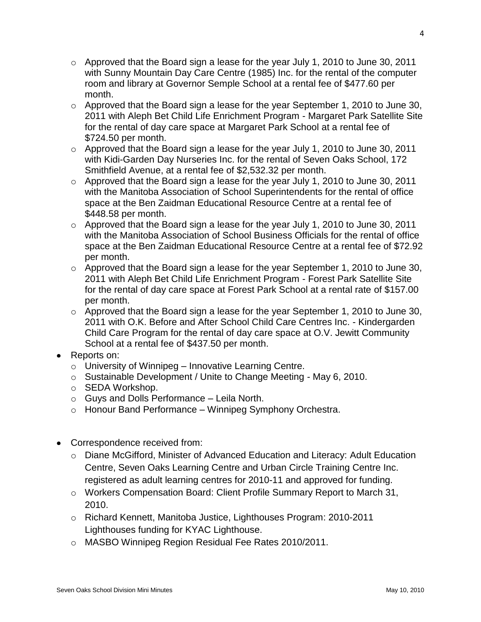- $\circ$  Approved that the Board sign a lease for the year July 1, 2010 to June 30, 2011 with Sunny Mountain Day Care Centre (1985) Inc. for the rental of the computer room and library at Governor Semple School at a rental fee of \$477.60 per month.
- o Approved that the Board sign a lease for the year September 1, 2010 to June 30, 2011 with Aleph Bet Child Life Enrichment Program - Margaret Park Satellite Site for the rental of day care space at Margaret Park School at a rental fee of \$724.50 per month.
- o Approved that the Board sign a lease for the year July 1, 2010 to June 30, 2011 with Kidi-Garden Day Nurseries Inc. for the rental of Seven Oaks School, 172 Smithfield Avenue, at a rental fee of \$2,532.32 per month.
- o Approved that the Board sign a lease for the year July 1, 2010 to June 30, 2011 with the Manitoba Association of School Superintendents for the rental of office space at the Ben Zaidman Educational Resource Centre at a rental fee of \$448.58 per month.
- o Approved that the Board sign a lease for the year July 1, 2010 to June 30, 2011 with the Manitoba Association of School Business Officials for the rental of office space at the Ben Zaidman Educational Resource Centre at a rental fee of \$72.92 per month.
- o Approved that the Board sign a lease for the year September 1, 2010 to June 30, 2011 with Aleph Bet Child Life Enrichment Program - Forest Park Satellite Site for the rental of day care space at Forest Park School at a rental rate of \$157.00 per month.
- o Approved that the Board sign a lease for the year September 1, 2010 to June 30, 2011 with O.K. Before and After School Child Care Centres Inc. - Kindergarden Child Care Program for the rental of day care space at O.V. Jewitt Community School at a rental fee of \$437.50 per month.
- Reports on:
	- $\circ$  University of Winnipeg Innovative Learning Centre.
	- o Sustainable Development / Unite to Change Meeting May 6, 2010.
	- o SEDA Workshop.
	- o Guys and Dolls Performance Leila North.
	- o Honour Band Performance Winnipeg Symphony Orchestra.
- Correspondence received from:
	- o Diane McGifford, Minister of Advanced Education and Literacy: Adult Education Centre, Seven Oaks Learning Centre and Urban Circle Training Centre Inc. registered as adult learning centres for 2010-11 and approved for funding.
	- o Workers Compensation Board: Client Profile Summary Report to March 31, 2010.
	- o Richard Kennett, Manitoba Justice, Lighthouses Program: 2010-2011 Lighthouses funding for KYAC Lighthouse.
	- o MASBO Winnipeg Region Residual Fee Rates 2010/2011.